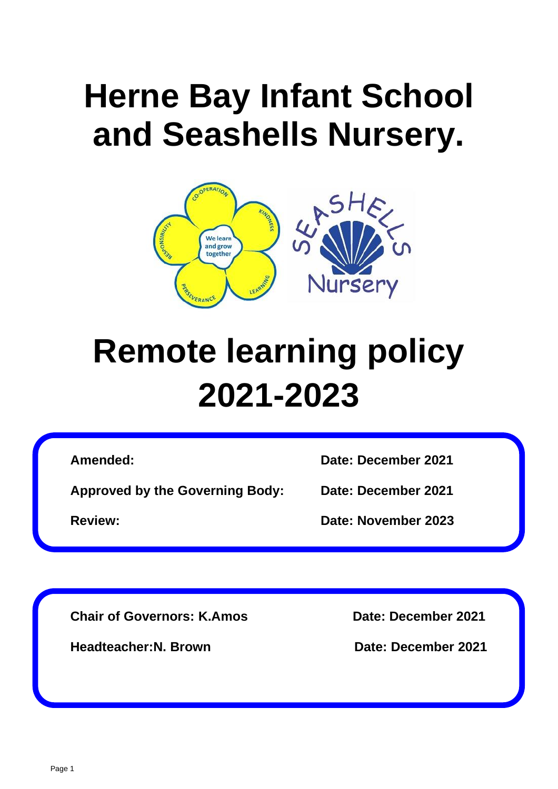# **Herne Bay Infant School and Seashells Nursery.**



# **Remote learning policy 2021-2023**

**Approved by the Governing Body: Date: December 2021**

**Amended: Date: December 2021**

**Review: Date: November 2023**

**Chair of Governors: K.Amos Date: December 2021**

**Headteacher:N. Brown Date: December 2021**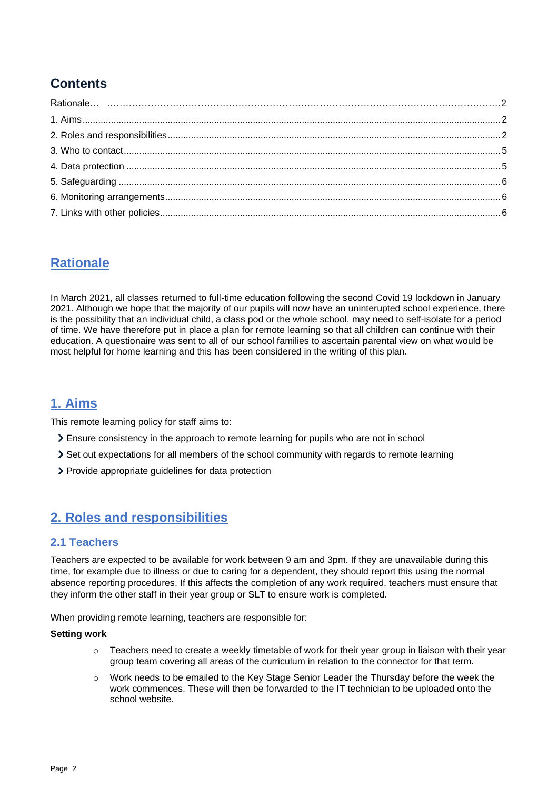# **Contents**

# **Rationale**

In March 2021, all classes returned to full-time education following the second Covid 19 lockdown in January 2021. Although we hope that the majority of our pupils will now have an uninterupted school experience, there is the possibility that an individual child, a class pod or the whole school, may need to self-isolate for a period of time. We have therefore put in place a plan for remote learning so that all children can continue with their education. A questionaire was sent to all of our school families to ascertain parental view on what would be most helpful for home learning and this has been considered in the writing of this plan.

# <span id="page-1-0"></span>**1. Aims**

This remote learning policy for staff aims to:

- Ensure consistency in the approach to remote learning for pupils who are not in school
- Set out expectations for all members of the school community with regards to remote learning
- Provide appropriate guidelines for data protection

# <span id="page-1-1"></span>**2. Roles and responsibilities**

#### **2.1 Teachers**

Teachers are expected to be available for work between 9 am and 3pm. If they are unavailable during this time, for example due to illness or due to caring for a dependent, they should report this using the normal absence reporting procedures. If this affects the completion of any work required, teachers must ensure that they inform the other staff in their year group or SLT to ensure work is completed.

When providing remote learning, teachers are responsible for:

#### **Setting work**

- o Teachers need to create a weekly timetable of work for their year group in liaison with their year group team covering all areas of the curriculum in relation to the connector for that term.
- o Work needs to be emailed to the Key Stage Senior Leader the Thursday before the week the work commences. These will then be forwarded to the IT technician to be uploaded onto the school website.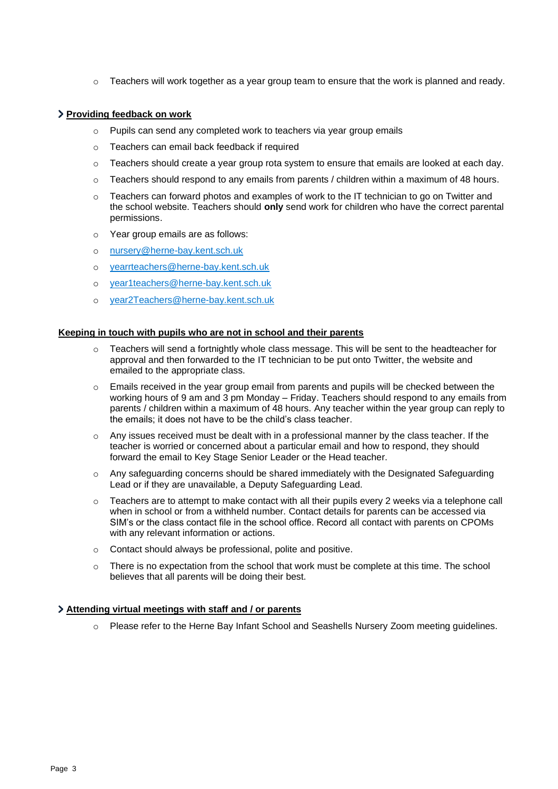$\circ$  Teachers will work together as a year group team to ensure that the work is planned and ready.

#### **Providing feedback on work**

- o Pupils can send any completed work to teachers via year group emails
- o Teachers can email back feedback if required
- $\circ$  Teachers should create a year group rota system to ensure that emails are looked at each day.
- o Teachers should respond to any emails from parents / children within a maximum of 48 hours.
- $\circ$  Teachers can forward photos and examples of work to the IT technician to go on Twitter and the school website. Teachers should **only** send work for children who have the correct parental permissions.
- o Year group emails are as follows:
- o [nursery@herne-bay.kent.sch.uk](mailto:nursery@herne-bay.kent.sch.uk)
- o [yearrteachers@herne-bay.kent.sch.uk](mailto:yearrteachers@herne-bay.kent.sch.uk)
- o [year1teachers@herne-bay.kent.sch.uk](mailto:year1teachers@herne-bay.kent.sch.uk)
- o [year2Teachers@herne-bay.kent.sch.uk](mailto:year2Teachers@herne-bay.kent.sch.uk)

#### **Keeping in touch with pupils who are not in school and their parents**

- o Teachers will send a fortnightly whole class message. This will be sent to the headteacher for approval and then forwarded to the IT technician to be put onto Twitter, the website and emailed to the appropriate class.
- o Emails received in the year group email from parents and pupils will be checked between the working hours of 9 am and 3 pm Monday – Friday. Teachers should respond to any emails from parents / children within a maximum of 48 hours. Any teacher within the year group can reply to the emails; it does not have to be the child's class teacher.
- $\circ$  Any issues received must be dealt with in a professional manner by the class teacher. If the teacher is worried or concerned about a particular email and how to respond, they should forward the email to Key Stage Senior Leader or the Head teacher.
- $\circ$  Any safeguarding concerns should be shared immediately with the Designated Safeguarding Lead or if they are unavailable, a Deputy Safeguarding Lead.
- $\circ$  Teachers are to attempt to make contact with all their pupils every 2 weeks via a telephone call when in school or from a withheld number. Contact details for parents can be accessed via SIM's or the class contact file in the school office. Record all contact with parents on CPOMs with any relevant information or actions.
- o Contact should always be professional, polite and positive.
- $\circ$  There is no expectation from the school that work must be complete at this time. The school believes that all parents will be doing their best.

#### **Attending virtual meetings with staff and / or parents**

o Please refer to the Herne Bay Infant School and Seashells Nursery Zoom meeting guidelines.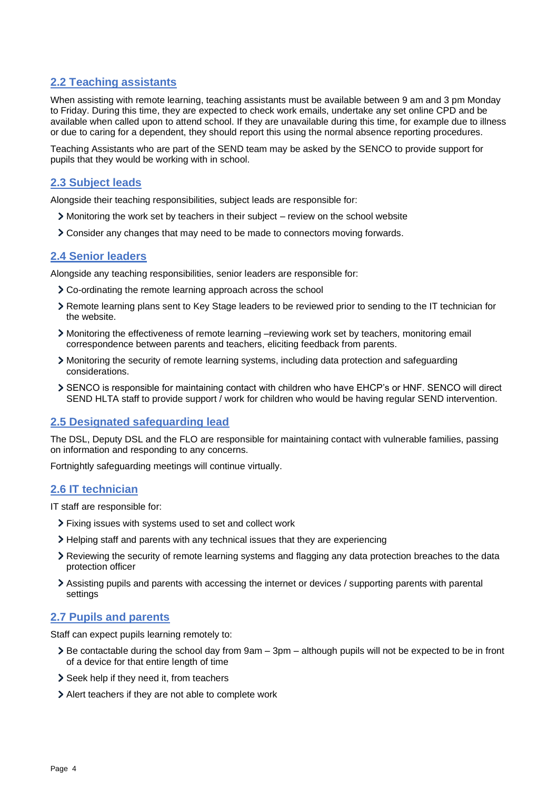### **2.2 Teaching assistants**

When assisting with remote learning, teaching assistants must be available between 9 am and 3 pm Monday to Friday. During this time, they are expected to check work emails, undertake any set online CPD and be available when called upon to attend school. If they are unavailable during this time, for example due to illness or due to caring for a dependent, they should report this using the normal absence reporting procedures.

Teaching Assistants who are part of the SEND team may be asked by the SENCO to provide support for pupils that they would be working with in school.

#### **2.3 Subject leads**

Alongside their teaching responsibilities, subject leads are responsible for:

- Monitoring the work set by teachers in their subject review on the school website
- Consider any changes that may need to be made to connectors moving forwards.

#### **2.4 Senior leaders**

Alongside any teaching responsibilities, senior leaders are responsible for:

- Co-ordinating the remote learning approach across the school
- Remote learning plans sent to Key Stage leaders to be reviewed prior to sending to the IT technician for the website.
- Monitoring the effectiveness of remote learning –reviewing work set by teachers, monitoring email correspondence between parents and teachers, eliciting feedback from parents.
- Monitoring the security of remote learning systems, including data protection and safeguarding considerations.
- SENCO is responsible for maintaining contact with children who have EHCP's or HNF. SENCO will direct SEND HLTA staff to provide support / work for children who would be having regular SEND intervention.

#### **2.5 Designated safeguarding lead**

The DSL, Deputy DSL and the FLO are responsible for maintaining contact with vulnerable families, passing on information and responding to any concerns.

Fortnightly safeguarding meetings will continue virtually.

#### **2.6 IT technician**

IT staff are responsible for:

- Fixing issues with systems used to set and collect work
- Helping staff and parents with any technical issues that they are experiencing
- Reviewing the security of remote learning systems and flagging any data protection breaches to the data protection officer
- Assisting pupils and parents with accessing the internet or devices / supporting parents with parental settings

#### **2.7 Pupils and parents**

Staff can expect pupils learning remotely to:

- Be contactable during the school day from 9am 3pm although pupils will not be expected to be in front of a device for that entire length of time
- Seek help if they need it, from teachers
- Alert teachers if they are not able to complete work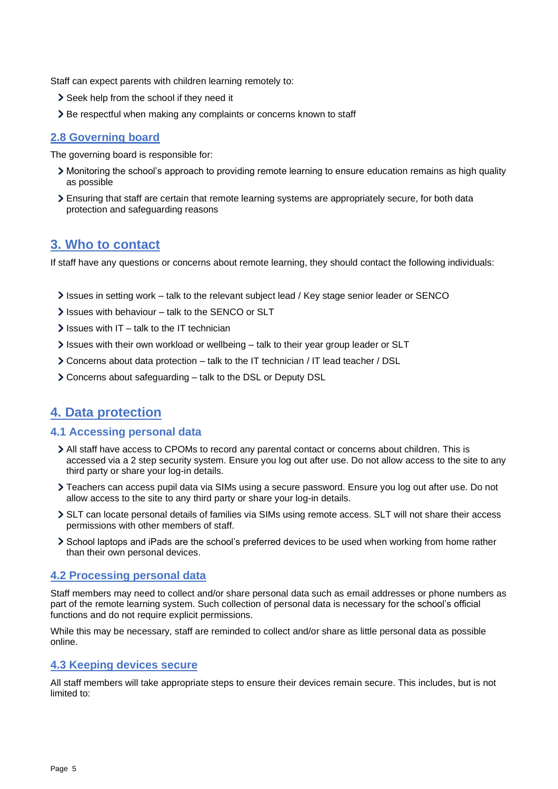Staff can expect parents with children learning remotely to:

- > Seek help from the school if they need it
- > Be respectful when making any complaints or concerns known to staff

#### **2.8 Governing board**

The governing board is responsible for:

- Monitoring the school's approach to providing remote learning to ensure education remains as high quality as possible
- Ensuring that staff are certain that remote learning systems are appropriately secure, for both data protection and safeguarding reasons

## <span id="page-4-0"></span>**3. Who to contact**

If staff have any questions or concerns about remote learning, they should contact the following individuals:

- Issues in setting work talk to the relevant subject lead / Key stage senior leader or SENCO
- $\ge$  Issues with behaviour talk to the SENCO or SLT
- $\ge$  Issues with IT talk to the IT technician
- Issues with their own workload or wellbeing talk to their year group leader or SLT
- Concerns about data protection talk to the IT technician / IT lead teacher / DSL
- Concerns about safeguarding talk to the DSL or Deputy DSL

## <span id="page-4-1"></span>**4. Data protection**

#### **4.1 Accessing personal data**

- All staff have access to CPOMs to record any parental contact or concerns about children. This is accessed via a 2 step security system. Ensure you log out after use. Do not allow access to the site to any third party or share your log-in details.
- Teachers can access pupil data via SIMs using a secure password. Ensure you log out after use. Do not allow access to the site to any third party or share your log-in details.
- SLT can locate personal details of families via SIMs using remote access. SLT will not share their access permissions with other members of staff.
- School laptops and iPads are the school's preferred devices to be used when working from home rather than their own personal devices.

#### **4.2 Processing personal data**

Staff members may need to collect and/or share personal data such as email addresses or phone numbers as part of the remote learning system. Such collection of personal data is necessary for the school's official functions and do not require explicit permissions.

While this may be necessary, staff are reminded to collect and/or share as little personal data as possible online.

#### **4.3 Keeping devices secure**

All staff members will take appropriate steps to ensure their devices remain secure. This includes, but is not limited to: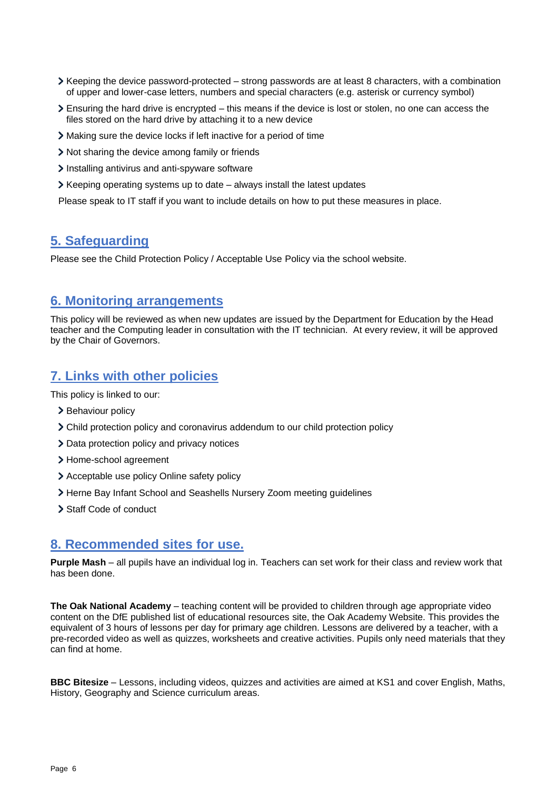- Keeping the device password-protected strong passwords are at least 8 characters, with a combination of upper and lower-case letters, numbers and special characters (e.g. asterisk or currency symbol)
- Ensuring the hard drive is encrypted this means if the device is lost or stolen, no one can access the files stored on the hard drive by attaching it to a new device
- Making sure the device locks if left inactive for a period of time
- Not sharing the device among family or friends
- Installing antivirus and anti-spyware software
- $\triangleright$  Keeping operating systems up to date always install the latest updates

Please speak to IT staff if you want to include details on how to put these measures in place.

## <span id="page-5-0"></span>**5. Safeguarding**

Please see the Child Protection Policy / Acceptable Use Policy via the school website.

### <span id="page-5-1"></span>**6. Monitoring arrangements**

This policy will be reviewed as when new updates are issued by the Department for Education by the Head teacher and the Computing leader in consultation with the IT technician. At every review, it will be approved by the Chair of Governors.

## <span id="page-5-2"></span>**7. Links with other policies**

This policy is linked to our:

- > Behaviour policy
- Child protection policy and coronavirus addendum to our child protection policy
- > Data protection policy and privacy notices
- > Home-school agreement
- > Acceptable use policy Online safety policy
- > Herne Bay Infant School and Seashells Nursery Zoom meeting guidelines
- > Staff Code of conduct

## **8. Recommended sites for use.**

**Purple Mash** – all pupils have an individual log in. Teachers can set work for their class and review work that has been done.

**The Oak National Academy** – teaching content will be provided to children through age appropriate video content on the DfE published list of educational resources site, the Oak Academy Website. This provides the equivalent of 3 hours of lessons per day for primary age children. Lessons are delivered by a teacher, with a pre-recorded video as well as quizzes, worksheets and creative activities. Pupils only need materials that they can find at home.

**BBC Bitesize** – Lessons, including videos, quizzes and activities are aimed at KS1 and cover English, Maths, History, Geography and Science curriculum areas.